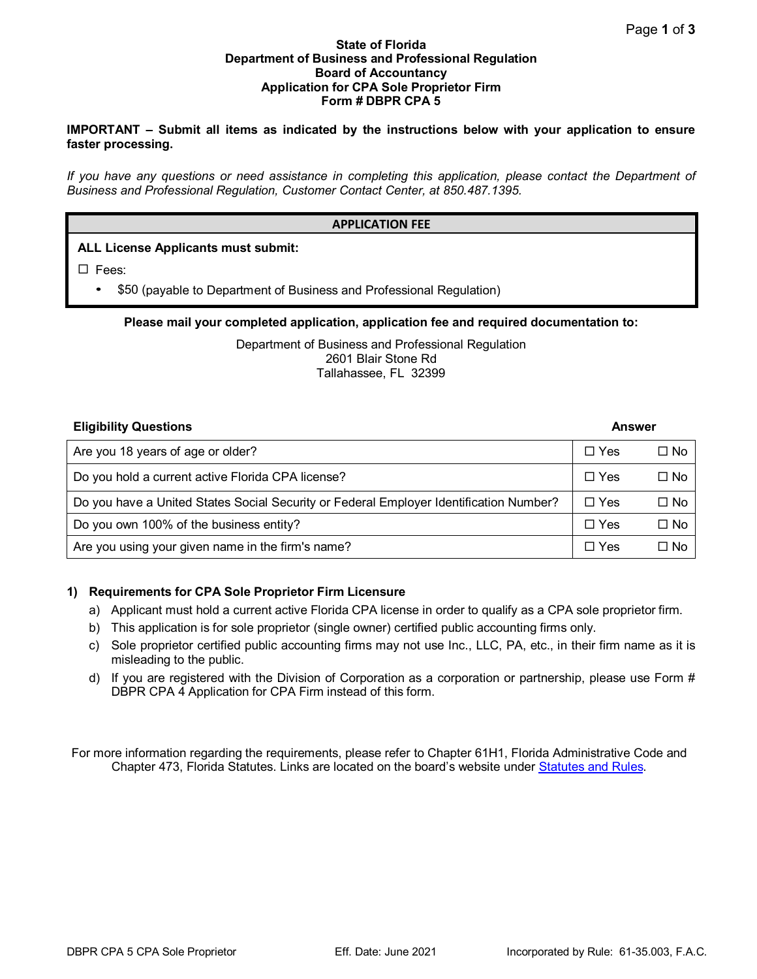### **State of Florida Department of Business and Professional Regulation Board of Accountancy Application for CPA Sole Proprietor Firm Form # DBPR CPA 5**

### **IMPORTANT – Submit all items as indicated by the instructions below with your application to ensure faster processing.**

*If you have any questions or need assistance in completing this application, please contact the Department of Business and Professional Regulation, Customer Contact Center, at 850.487.1395.*

### **APPLICATION FEE**

# **ALL License Applicants must submit:**

 $\square$  Fees:

• \$50 (payable to Department of Business and Professional Regulation)

# **Please mail your completed application, application fee and required documentation to:**

Department of Business and Professional Regulation 2601 Blair Stone Rd Tallahassee, FL 32399

# **Eligibility Questions Answer**

| Are you 18 years of age or older?                                                      | $\Box$ Yes | $\Box$ No    |
|----------------------------------------------------------------------------------------|------------|--------------|
| Do you hold a current active Florida CPA license?                                      | $\Box$ Yes | $\square$ No |
| Do you have a United States Social Security or Federal Employer Identification Number? | $\Box$ Yes | $\square$ No |
| Do you own 100% of the business entity?                                                | $\Box$ Yes | $\square$ No |
| Are you using your given name in the firm's name?                                      | $\Box$ Yes | $\square$ No |

# **1) Requirements for CPA Sole Proprietor Firm Licensure**

- a) Applicant must hold a current active Florida CPA license in order to qualify as a CPA sole proprietor firm.
- b) This application is for sole proprietor (single owner) certified public accounting firms only.
- c) Sole proprietor certified public accounting firms may not use Inc., LLC, PA, etc., in their firm name as it is misleading to the public.
- d) If you are registered with the Division of Corporation as a corporation or partnership, please use Form # DBPR CPA 4 Application for CPA Firm instead of this form.

For more information regarding the requirements, please refer to Chapter 61H1, Florida Administrative Code and Chapter 473, Florida Statutes. Links are located on the board's website under [Statutes and Rules.](http://www.myfloridalicense.com/DBPR/certified-public-accounting/statutes-and-rules/)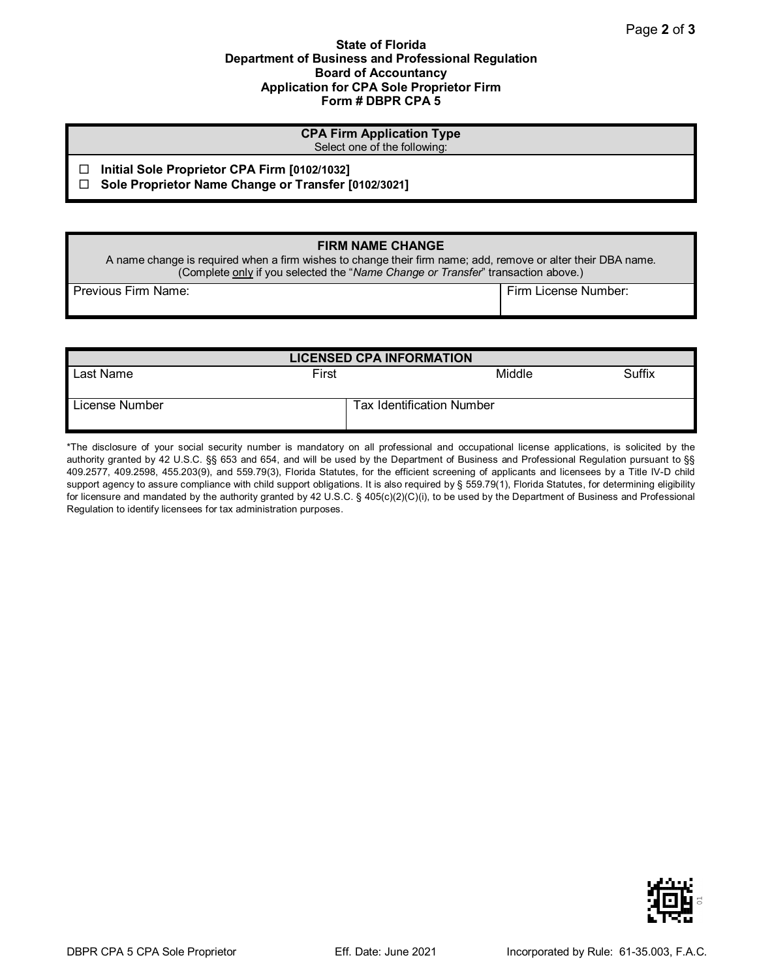### **State of Florida Department of Business and Professional Regulation Board of Accountancy Application for CPA Sole Proprietor Firm Form # DBPR CPA 5**

| <b>CPA Firm Application Type</b><br>Select one of the following:                                    |  |  |  |
|-----------------------------------------------------------------------------------------------------|--|--|--|
| Initial Sole Proprietor CPA Firm [0102/1032]<br>Sole Proprietor Name Change or Transfer [0102/3021] |  |  |  |
|                                                                                                     |  |  |  |

# **FIRM NAME CHANGE**

A name change is required when a firm wishes to change their firm name; add, remove or alter their DBA name. (Complete only if you selected the "*Name Change or Transfer*" transaction above.)

Previous Firm Name: Firm Name: Firm License Number: Firm License Number:

| <b>LICENSED CPA INFORMATION</b> |       |                                  |        |  |  |  |  |
|---------------------------------|-------|----------------------------------|--------|--|--|--|--|
| Last Name                       | First | Middle                           | Suffix |  |  |  |  |
| License Number                  |       | <b>Tax Identification Number</b> |        |  |  |  |  |

\*The disclosure of your social security number is mandatory on all professional and occupational license applications, is solicited by the authority granted by 42 U.S.C. §§ 653 and 654, and will be used by the Department of Business and Professional Regulation pursuant to §§ 409.2577, 409.2598, 455.203(9), and 559.79(3), Florida Statutes, for the efficient screening of applicants and licensees by a Title IV-D child support agency to assure compliance with child support obligations. It is also required by § 559.79(1), Florida Statutes, for determining eligibility for licensure and mandated by the authority granted by 42 U.S.C. § 405(c)(2)(C)(i), to be used by the Department of Business and Professional Regulation to identify licensees for tax administration purposes.